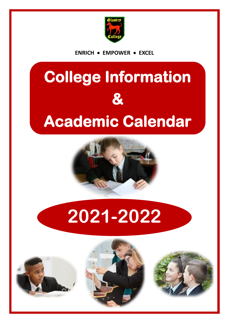

**ENRICH EMPOWER EXCEL**

# **College Information & Academic Calendar**



# **2021-2022**





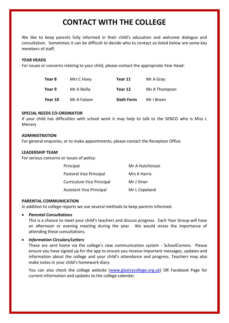# **CONTACT WITH THE COLLEGE**

We like to keep parents fully informed in their child's education and welcome dialogue and consultation. Sometimes it can be difficult to decide who to contact so listed below are some key members of staff.

#### **YEAR HEADS**

For issues or concerns relating to your child, please contact the appropriate Year Head:

| Year 8  | Mrs C Hoey  | Year 11           | Mr A Gray     |
|---------|-------------|-------------------|---------------|
| Year 9  | Mr A Reilly | Year 12           | Ms A Thompson |
| Year 10 | Mr A Faloon | <b>Sixth Form</b> | Mr I Breen    |

#### **SPECIAL NEEDS CO-ORDINATOR**

If your child has difficulties with school work it may help to talk to the SENCO who is Miss L Menary

#### **ADMINISTRATION**

For general enquiries, or to make appointments, please contact the Reception Office.

#### **LEADERSHIP TEAM**

For serious concerns or issues of policy:

| Principal                        | Mr A Hutchinson |  |
|----------------------------------|-----------------|--|
| Pastoral Vice Principal          | Mrs K Harris    |  |
| <b>Curriculum Vice Principal</b> | Mr J Viner      |  |
| <b>Assistant Vice Principal</b>  | Mr L Copeland   |  |

#### **PARENTAL COMMUNICATION**

In addition to college reports we use several methods to keep parents informed.

#### *Parental Consultations*

This is a chance to meet your child's teachers and discuss progress. Each Year Group will have an afternoon or evening meeting during the year. We would stress the importance of attending these consultations.

#### *Information Circulars/Letters*

These are sent home via the college's new communication system - SchoolComms. Please ensure you have signed up for the app to ensure you receive important messages, updates and information about the college and your child's attendance and progress. Teachers may also make notes in your child's homework diary.

You can also check the college website [\(www.glastrycollege.org.uk\)](http://www.glastrycollege.org.uk/) OR Facebook Page for current information and updates to the college calendar.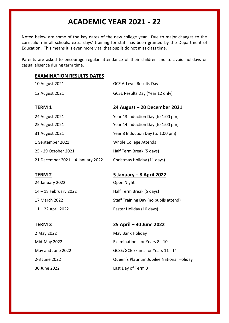## **ACADEMIC YEAR 2021 - 22**

Noted below are some of the key dates of the new college year. Due to major changes to the curriculum in all schools, extra days' training for staff has been granted by the Department of Education. This means it is even more vital that pupils do not miss class time.

Parents are asked to encourage regular attendance of their children and to avoid holidays or casual absence during term time.

### **EXAMINATION RESULTS DATES**

| 10 August 2021                    | <b>GCE A-Level Results Day</b>     |
|-----------------------------------|------------------------------------|
| 12 August 2021                    | GCSE Results Day (Year 12 only)    |
| <b>TERM 1</b>                     | 24 August - 20 December 2021       |
| 24 August 2021                    | Year 13 Induction Day (to 1:00 pm) |
| 25 August 2021                    | Year 14 Induction Day (to 1:00 pm) |
| 31 August 2021                    | Year 8 Induction Day (to 1:00 pm)  |
| 1 September 2021                  | Whole College Attends              |
| 25 - 29 October 2021              | Half Term Break (5 days)           |
| 21 December 2021 - 4 January 2022 | Christmas Holiday (11 days)        |

24 January 2022 **Open Night** 

### **TERM 2 5 January – 8 April 2022**

14 – 18 February 2022 Half Term Break (5 days) 17 March 2022 Staff Training Day (no pupils attend) 11 – 22 April 2022 Easter Holiday (10 days)

#### **TERM 3 25 April – 30 June 2022**

2 May 2022 **May Bank Holiday** Mid-May 2022 Examinations for Years 8 - 10 May and June 2022 GCSE/GCE Exams for Years 11 - 14 2-3 June 2022 Queen's Platinum Jubilee National Holiday 30 June 2022 Last Day of Term 3